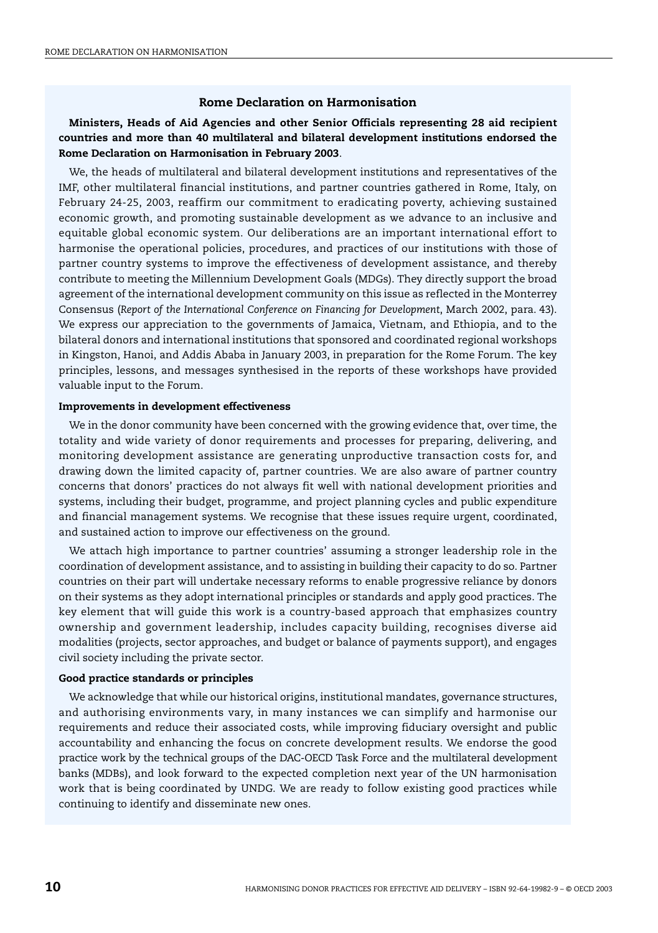## **Rome Declaration on Harmonisation**

# **Ministers, Heads of Aid Agencies and other Senior Officials representing 28 aid recipient countries and more than 40 multilateral and bilateral development institutions endorsed the Rome Declaration on Harmonisation in February 2003**.

We, the heads of multilateral and bilateral development institutions and representatives of the IMF, other multilateral financial institutions, and partner countries gathered in Rome, Italy, on February 24-25, 2003, reaffirm our commitment to eradicating poverty, achieving sustained economic growth, and promoting sustainable development as we advance to an inclusive and equitable global economic system. Our deliberations are an important international effort to harmonise the operational policies, procedures, and practices of our institutions with those of partner country systems to improve the effectiveness of development assistance, and thereby contribute to meeting the Millennium Development Goals (MDGs). They directly support the broad agreement of the international development community on this issue as reflected in the Monterrey Consensus (*Report of the International Conference on Financing for Development*, March 2002, para. 43). We express our appreciation to the governments of Jamaica, Vietnam, and Ethiopia, and to the bilateral donors and international institutions that sponsored and coordinated regional workshops in Kingston, Hanoi, and Addis Ababa in January 2003, in preparation for the Rome Forum. The key principles, lessons, and messages synthesised in the reports of these workshops have provided valuable input to the Forum.

### **Improvements in development effectiveness**

We in the donor community have been concerned with the growing evidence that, over time, the totality and wide variety of donor requirements and processes for preparing, delivering, and monitoring development assistance are generating unproductive transaction costs for, and drawing down the limited capacity of, partner countries. We are also aware of partner country concerns that donors' practices do not always fit well with national development priorities and systems, including their budget, programme, and project planning cycles and public expenditure and financial management systems. We recognise that these issues require urgent, coordinated, and sustained action to improve our effectiveness on the ground.

We attach high importance to partner countries' assuming a stronger leadership role in the coordination of development assistance, and to assisting in building their capacity to do so. Partner countries on their part will undertake necessary reforms to enable progressive reliance by donors on their systems as they adopt international principles or standards and apply good practices. The key element that will guide this work is a country-based approach that emphasizes country ownership and government leadership, includes capacity building, recognises diverse aid modalities (projects, sector approaches, and budget or balance of payments support), and engages civil society including the private sector.

## **Good practice standards or principles**

We acknowledge that while our historical origins, institutional mandates, governance structures, and authorising environments vary, in many instances we can simplify and harmonise our requirements and reduce their associated costs, while improving fiduciary oversight and public accountability and enhancing the focus on concrete development results. We endorse the good practice work by the technical groups of the DAC-OECD Task Force and the multilateral development banks (MDBs), and look forward to the expected completion next year of the UN harmonisation work that is being coordinated by UNDG. We are ready to follow existing good practices while continuing to identify and disseminate new ones.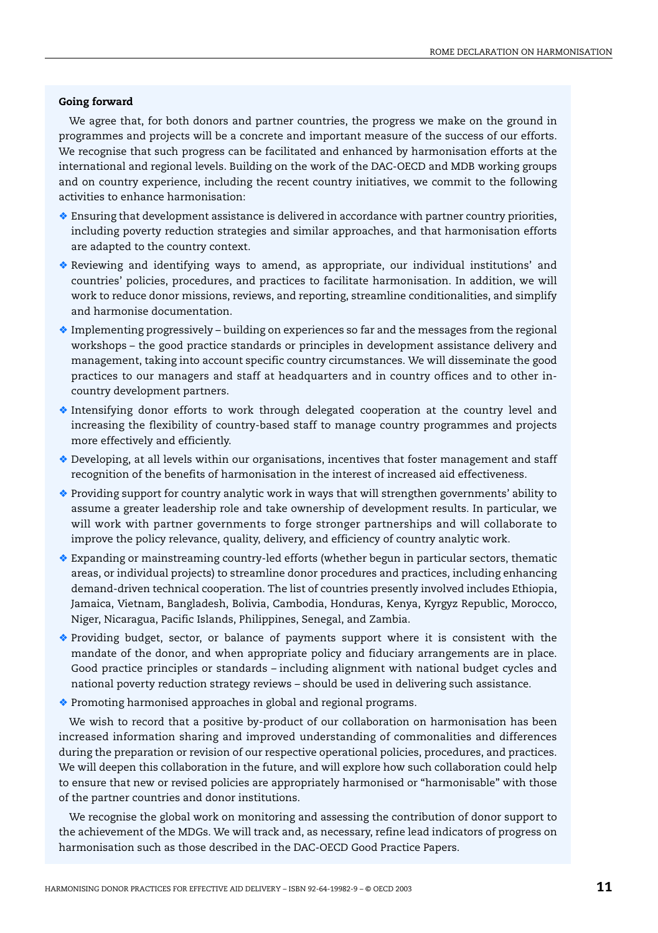### **Going forward**

We agree that, for both donors and partner countries, the progress we make on the ground in programmes and projects will be a concrete and important measure of the success of our efforts. We recognise that such progress can be facilitated and enhanced by harmonisation efforts at the international and regional levels. Building on the work of the DAC-OECD and MDB working groups and on country experience, including the recent country initiatives, we commit to the following activities to enhance harmonisation:

- ❖ Ensuring that development assistance is delivered in accordance with partner country priorities, including poverty reduction strategies and similar approaches, and that harmonisation efforts are adapted to the country context.
- ❖ Reviewing and identifying ways to amend, as appropriate, our individual institutions' and countries' policies, procedures, and practices to facilitate harmonisation. In addition, we will work to reduce donor missions, reviews, and reporting, streamline conditionalities, and simplify and harmonise documentation.
- ❖ Implementing progressively building on experiences so far and the messages from the regional workshops – the good practice standards or principles in development assistance delivery and management, taking into account specific country circumstances. We will disseminate the good practices to our managers and staff at headquarters and in country offices and to other incountry development partners.
- ❖ Intensifying donor efforts to work through delegated cooperation at the country level and increasing the flexibility of country-based staff to manage country programmes and projects more effectively and efficiently.
- ❖ Developing, at all levels within our organisations, incentives that foster management and staff recognition of the benefits of harmonisation in the interest of increased aid effectiveness.
- ❖ Providing support for country analytic work in ways that will strengthen governments' ability to assume a greater leadership role and take ownership of development results. In particular, we will work with partner governments to forge stronger partnerships and will collaborate to improve the policy relevance, quality, delivery, and efficiency of country analytic work.
- ❖ Expanding or mainstreaming country-led efforts (whether begun in particular sectors, thematic areas, or individual projects) to streamline donor procedures and practices, including enhancing demand-driven technical cooperation. The list of countries presently involved includes Ethiopia, Jamaica, Vietnam, Bangladesh, Bolivia, Cambodia, Honduras, Kenya, Kyrgyz Republic, Morocco, Niger, Nicaragua, Pacific Islands, Philippines, Senegal, and Zambia.
- ❖ Providing budget, sector, or balance of payments support where it is consistent with the mandate of the donor, and when appropriate policy and fiduciary arrangements are in place. Good practice principles or standards – including alignment with national budget cycles and national poverty reduction strategy reviews – should be used in delivering such assistance.
- ❖ Promoting harmonised approaches in global and regional programs.

We wish to record that a positive by-product of our collaboration on harmonisation has been increased information sharing and improved understanding of commonalities and differences during the preparation or revision of our respective operational policies, procedures, and practices. We will deepen this collaboration in the future, and will explore how such collaboration could help to ensure that new or revised policies are appropriately harmonised or "harmonisable" with those of the partner countries and donor institutions.

We recognise the global work on monitoring and assessing the contribution of donor support to the achievement of the MDGs. We will track and, as necessary, refine lead indicators of progress on harmonisation such as those described in the DAC-OECD Good Practice Papers.